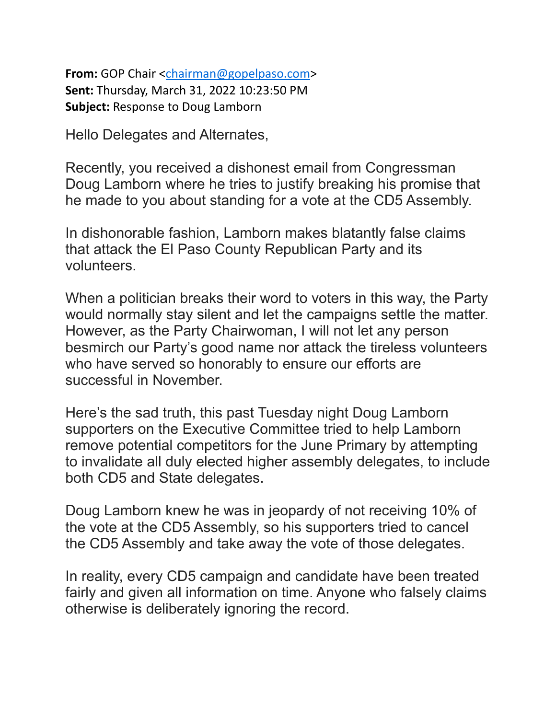**From:** GOP Chair [<chairman@gopelpaso.com>](mailto:chairman@gopelpaso.com) **Sent:** Thursday, March 31, 2022 10:23:50 PM **Subject:** Response to Doug Lamborn

Hello Delegates and Alternates,

Recently, you received a dishonest email from Congressman Doug Lamborn where he tries to justify breaking his promise that he made to you about standing for a vote at the CD5 Assembly.

In dishonorable fashion, Lamborn makes blatantly false claims that attack the El Paso County Republican Party and its volunteers.

When a politician breaks their word to voters in this way, the Party would normally stay silent and let the campaigns settle the matter. However, as the Party Chairwoman, I will not let any person besmirch our Party's good name nor attack the tireless volunteers who have served so honorably to ensure our efforts are successful in November.

Here's the sad truth, this past Tuesday night Doug Lamborn supporters on the Executive Committee tried to help Lamborn remove potential competitors for the June Primary by attempting to invalidate all duly elected higher assembly delegates, to include both CD5 and State delegates.

Doug Lamborn knew he was in jeopardy of not receiving 10% of the vote at the CD5 Assembly, so his supporters tried to cancel the CD5 Assembly and take away the vote of those delegates.

In reality, every CD5 campaign and candidate have been treated fairly and given all information on time. Anyone who falsely claims otherwise is deliberately ignoring the record.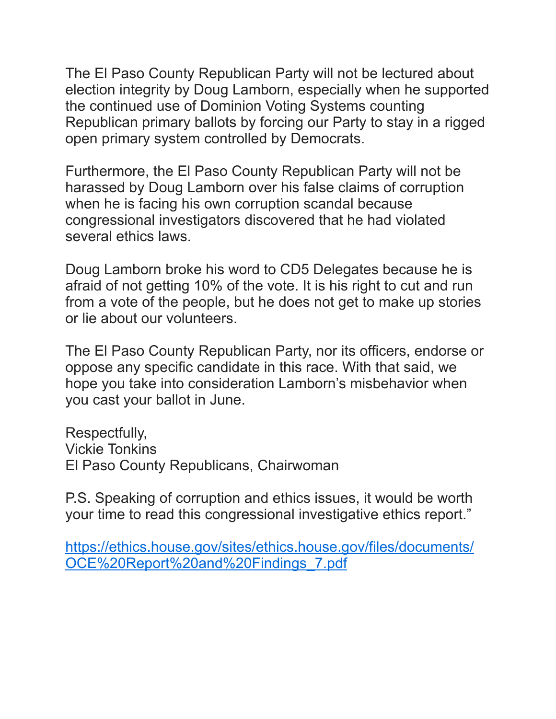The El Paso County Republican Party will not be lectured about election integrity by Doug Lamborn, especially when he supported the continued use of Dominion Voting Systems counting Republican primary ballots by forcing our Party to stay in a rigged open primary system controlled by Democrats.

Furthermore, the El Paso County Republican Party will not be harassed by Doug Lamborn over his false claims of corruption when he is facing his own corruption scandal because congressional investigators discovered that he had violated several ethics laws.

Doug Lamborn broke his word to CD5 Delegates because he is afraid of not getting 10% of the vote. It is his right to cut and run from a vote of the people, but he does not get to make up stories or lie about our volunteers.

The El Paso County Republican Party, nor its officers, endorse or oppose any specific candidate in this race. With that said, we hope you take into consideration Lamborn's misbehavior when you cast your ballot in June.

Respectfully, Vickie Tonkins El Paso County Republicans, Chairwoman

P.S. Speaking of corruption and ethics issues, it would be worth your time to read this congressional investigative ethics report."

[https://ethics.house.gov/sites/ethics.house.gov/files/documents/](https://nam12.safelinks.protection.outlook.com/?url=https%3A%2F%2Fethics.house.gov%2Fsites%2Fethics.house.gov%2Ffiles%2Fdocuments%2FOCE%2520Report%2520and%2520Findings_7.pdf&data=04%7C01%7C%7C5f89120f153a40f870d708da13ea6b1e%7C84df9e7fe9f640afb435aaaaaaaaaaaa%7C1%7C0%7C637844194935829422%7CUnknown%7CTWFpbGZsb3d8eyJWIjoiMC4wLjAwMDAiLCJQIjoiV2luMzIiLCJBTiI6Ik1haWwiLCJXVCI6Mn0%3D%7C3000&sdata=UFmDusyvHCaClSmniWdBGKr5se%2BhfjBFfQBzeanDNp4%3D&reserved=0) [OCE%20Report%20and%20Findings\\_7.pdf](https://nam12.safelinks.protection.outlook.com/?url=https%3A%2F%2Fethics.house.gov%2Fsites%2Fethics.house.gov%2Ffiles%2Fdocuments%2FOCE%2520Report%2520and%2520Findings_7.pdf&data=04%7C01%7C%7C5f89120f153a40f870d708da13ea6b1e%7C84df9e7fe9f640afb435aaaaaaaaaaaa%7C1%7C0%7C637844194935829422%7CUnknown%7CTWFpbGZsb3d8eyJWIjoiMC4wLjAwMDAiLCJQIjoiV2luMzIiLCJBTiI6Ik1haWwiLCJXVCI6Mn0%3D%7C3000&sdata=UFmDusyvHCaClSmniWdBGKr5se%2BhfjBFfQBzeanDNp4%3D&reserved=0)